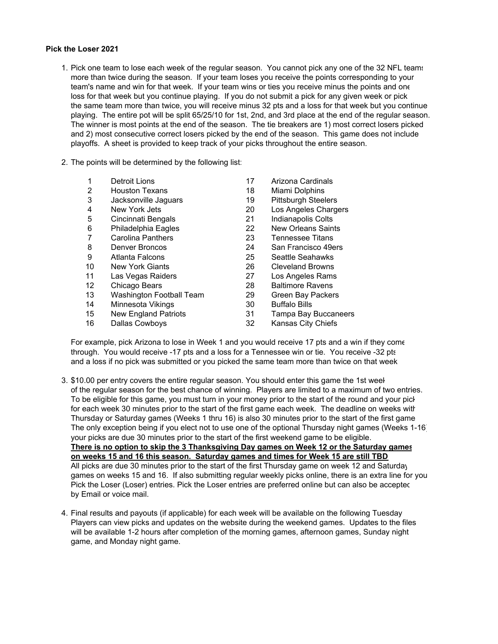## **Pick the Loser 2021**

- 1. Pick one team to lose each week of the regular season. You cannot pick any one of the 32 NFL teams more than twice during the season. If your team loses you receive the points corresponding to your team's name and win for that week. If your team wins or ties you receive minus the points and one loss for that week but you continue playing. If you do not submit a pick for any given week or pick the same team more than twice, you will receive minus 32 pts and a loss for that week but you continue playing. The entire pot will be split 65/25/10 for 1st, 2nd, and 3rd place at the end of the regular season. The winner is most points at the end of the season. The tie breakers are 1) most correct losers picked and 2) most consecutive correct losers picked by the end of the season. This game does not include playoffs. A sheet is provided to keep track of your picks throughout the entire season.
- 2. The points will be determined by the following list:

| 1               | <b>Detroit Lions</b>     | 17 | Arizona Cardinals           |
|-----------------|--------------------------|----|-----------------------------|
| 2               | <b>Houston Texans</b>    | 18 | Miami Dolphins              |
| 3               | Jacksonville Jaguars     | 19 | <b>Pittsburgh Steelers</b>  |
| 4               | New York Jets            | 20 | Los Angeles Chargers        |
| 5               | Cincinnati Bengals       | 21 | Indianapolis Colts          |
| 6               | Philadelphia Eagles      | 22 | <b>New Orleans Saints</b>   |
| 7               | <b>Carolina Panthers</b> | 23 | <b>Tennessee Titans</b>     |
| 8               | Denver Broncos           | 24 | San Francisco 49ers         |
| 9               | Atlanta Falcons          | 25 | Seattle Seahawks            |
| 10              | <b>New York Giants</b>   | 26 | <b>Cleveland Browns</b>     |
| 11              | Las Vegas Raiders        | 27 | Los Angeles Rams            |
| 12 <sup>°</sup> | Chicago Bears            | 28 | <b>Baltimore Ravens</b>     |
| 13              | Washington Football Team | 29 | Green Bay Packers           |
| 14              | Minnesota Vikings        | 30 | <b>Buffalo Bills</b>        |
| 15              | New England Patriots     | 31 | <b>Tampa Bay Buccaneers</b> |
| 16              | Dallas Cowboys           | 32 | Kansas City Chiefs          |

For example, pick Arizona to lose in Week 1 and you would receive 17 pts and a win if they come through. You would receive -17 pts and a loss for a Tennessee win or tie. You receive -32 pts and a loss if no pick was submitted or you picked the same team more than twice on that week

- 3. \$10.00 per entry covers the entire regular season. You should enter this game the 1st week of the regular season for the best chance of winning. Players are limited to a maximum of two entries. To be eligible for this game, you must turn in your money prior to the start of the round and your pick for each week 30 minutes prior to the start of the first game each week. The deadline on weeks with Thursday or Saturday games (Weeks 1 thru 16) is also 30 minutes prior to the start of the first game The only exception being if you elect not to use one of the optional Thursday night games (Weeks 1-16) your picks are due 30 minutes prior to the start of the first weekend game to be eligible. **There is no option to skip the 3 Thanksgiving Day games on Week 12 or the Saturday games on weeks 15 and 16 this season. Saturday games and times for Week 15 are still TBD** All picks are due 30 minutes prior to the start of the first Thursday game on week 12 and Saturday games on weeks 15 and 16. If also submitting regular weekly picks online, there is an extra line for you Pick the Loser (Loser) entries. Pick the Loser entries are preferred online but can also be accepted by Email or voice mail.
- 4. Final results and payouts (if applicable) for each week will be available on the following Tuesday Players can view picks and updates on the website during the weekend games. Updates to the files will be available 1-2 hours after completion of the morning games, afternoon games, Sunday night game, and Monday night game.